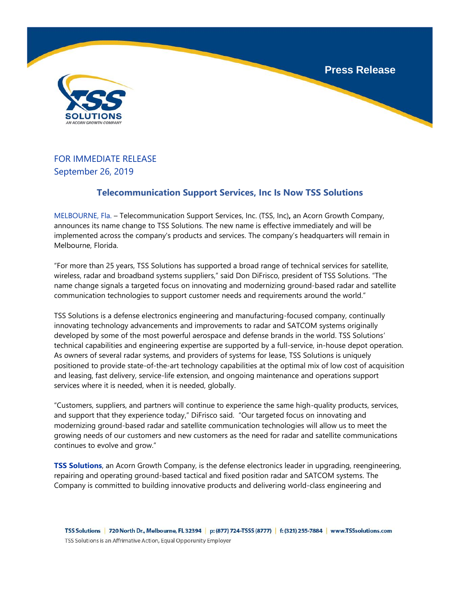

## FOR IMMEDIATE RELEASE September 26, 2019

## **Telecommunication Support Services, Inc Is Now TSS Solutions**

MELBOURNE, Fla. – Telecommunication Support Services, Inc. (TSS, Inc)**,** an Acorn Growth Company, announces its name change to TSS Solutions. The new name is effective immediately and will be implemented across the company's products and services. The company's headquarters will remain in Melbourne, Florida.

"For more than 25 years, TSS Solutions has supported a broad range of technical services for satellite, wireless, radar and broadband systems suppliers," said Don DiFrisco, president of TSS Solutions. "The name change signals a targeted focus on innovating and modernizing ground-based radar and satellite communication technologies to support customer needs and requirements around the world."

TSS Solutions is a defense electronics engineering and manufacturing-focused company, continually innovating technology advancements and improvements to radar and SATCOM systems originally developed by some of the most powerful aerospace and defense brands in the world. TSS Solutions' technical capabilities and engineering expertise are supported by a full-service, in-house depot operation. As owners of several radar systems, and providers of systems for lease, TSS Solutions is uniquely positioned to provide state-of-the-art technology capabilities at the optimal mix of low cost of acquisition and leasing, fast delivery, service-life extension, and ongoing maintenance and operations support services where it is needed, when it is needed, globally.

"Customers, suppliers, and partners will continue to experience the same high-quality products, services, and support that they experience today," DiFrisco said. "Our targeted focus on innovating and modernizing ground-based radar and satellite communication technologies will allow us to meet the growing needs of our customers and new customers as the need for radar and satellite communications continues to evolve and grow."

**TSS Solutions**, an Acorn Growth Company, is the defense electronics leader in upgrading, reengineering, repairing and operating ground-based tactical and fixed position radar and SATCOM systems. The Company is committed to building innovative products and delivering world-class engineering and